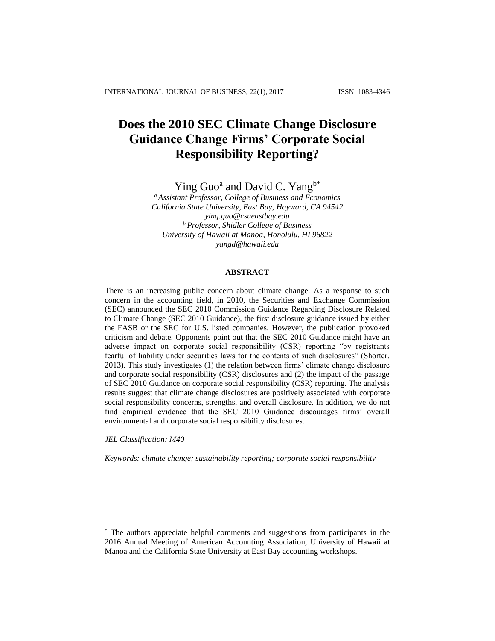# **Does the 2010 SEC Climate Change Disclosure Guidance Change Firms' Corporate Social Responsibility Reporting?**

Ying Guo<sup>a</sup> and David C. Yang<sup>b\*</sup>

*<sup>a</sup> Assistant Professor, College of Business and Economics California State University, East Bay, Hayward, CA 94542 [ying.guo@csueastbay.edu](mailto:ying.guo@csueastbay.edu) <sup>b</sup> Professor, Shidler College of Business University of Hawaii at Manoa, Honolulu, HI 96822 [yangd@hawaii.edu](mailto:yangd@hawaii.edu)*

# **ABSTRACT**

There is an increasing public concern about climate change. As a response to such concern in the accounting field, in 2010, the Securities and Exchange Commission (SEC) announced the SEC 2010 Commission Guidance Regarding Disclosure Related to Climate Change (SEC 2010 Guidance), the first disclosure guidance issued by either the FASB or the SEC for U.S. listed companies. However, the publication provoked criticism and debate. Opponents point out that the SEC 2010 Guidance might have an adverse impact on corporate social responsibility (CSR) reporting "by registrants fearful of liability under securities laws for the contents of such disclosures" (Shorter, 2013). This study investigates (1) the relation between firms' climate change disclosure and corporate social responsibility (CSR) disclosures and (2) the impact of the passage of SEC 2010 Guidance on corporate social responsibility (CSR) reporting. The analysis results suggest that climate change disclosures are positively associated with corporate social responsibility concerns, strengths, and overall disclosure. In addition, we do not find empirical evidence that the SEC 2010 Guidance discourages firms' overall environmental and corporate social responsibility disclosures.

*JEL Classification: M40*

*Keywords: climate change; sustainability reporting; corporate social responsibility*

<sup>\*</sup> The authors appreciate helpful comments and suggestions from participants in the 2016 Annual Meeting of American Accounting Association, University of Hawaii at Manoa and the California State University at East Bay accounting workshops.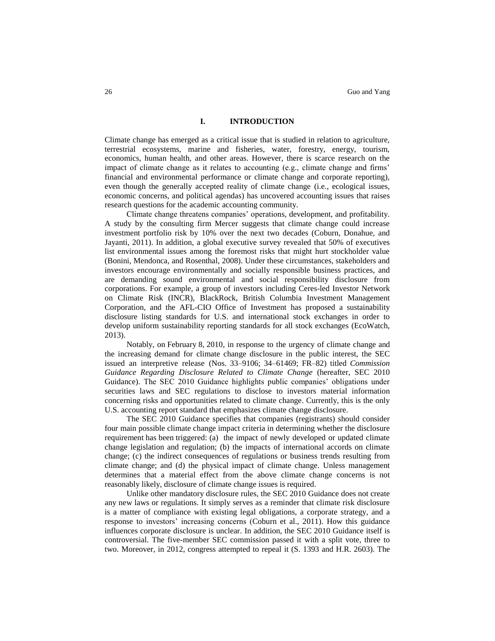## **I. INTRODUCTION**

Climate change has emerged as a critical issue that is studied in relation to agriculture, terrestrial ecosystems, marine and fisheries, water, forestry, energy, tourism, economics, human health, and other areas. However, there is scarce research on the impact of climate change as it relates to accounting (e.g., climate change and firms' financial and environmental performance or climate change and corporate reporting), even though the generally accepted reality of climate change (i.e., ecological issues, economic concerns, and political agendas) has uncovered accounting issues that raises research questions for the academic accounting community.

Climate change threatens companies' operations, development, and profitability. A study by the consulting firm Mercer suggests that climate change could increase investment portfolio risk by 10% over the next two decades (Coburn, Donahue, and Jayanti, 2011). In addition, a global executive survey revealed that 50% of executives list environmental issues among the foremost risks that might hurt stockholder value (Bonini, Mendonca, and Rosenthal, 2008). Under these circumstances, stakeholders and investors encourage environmentally and socially responsible business practices, and are demanding sound environmental and social responsibility disclosure from corporations. For example, a group of investors including Ceres-led Investor Network on Climate Risk (INCR), BlackRock, British Columbia Investment Management Corporation, and the AFL-CIO Office of Investment has proposed a sustainability disclosure listing standards for U.S. and international stock exchanges in order to develop uniform sustainability reporting standards for all stock exchanges (EcoWatch, 2013).

Notably, on February 8, 2010, in response to the urgency of climate change and the increasing demand for climate change disclosure in the public interest, the SEC issued an interpretive release (Nos. 33–9106; 34–61469; FR–82) titled *Commission Guidance Regarding Disclosure Related to Climate Change* (hereafter, SEC 2010 Guidance). The SEC 2010 Guidance highlights public companies' obligations under securities laws and SEC regulations to disclose to investors material information concerning risks and opportunities related to climate change. Currently, this is the only U.S. accounting report standard that emphasizes climate change disclosure.

The SEC 2010 Guidance specifies that companies (registrants) should consider four main possible climate change impact criteria in determining whether the disclosure requirement has been triggered: (a) the impact of newly developed or updated climate change legislation and regulation; (b) the impacts of international accords on climate change; (c) the indirect consequences of regulations or business trends resulting from climate change; and (d) the physical impact of climate change. Unless management determines that a material effect from the above climate change concerns is not reasonably likely, disclosure of climate change issues is required.

Unlike other mandatory disclosure rules, the SEC 2010 Guidance does not create any new laws or regulations. It simply serves as a reminder that climate risk disclosure is a matter of compliance with existing legal obligations, a corporate strategy, and a response to investors' increasing concerns (Coburn et al., 2011). How this guidance influences corporate disclosure is unclear. In addition, the SEC 2010 Guidance itself is controversial. The five-member SEC commission passed it with a split vote, three to two. Moreover, in 2012, congress attempted to repeal it (S. 1393 and H.R. 2603). The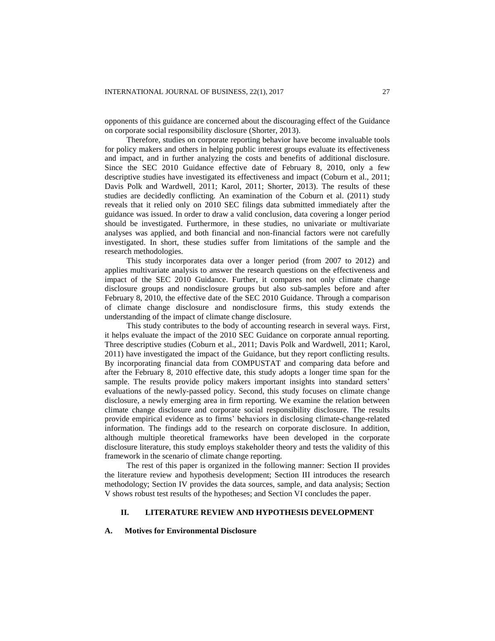opponents of this guidance are concerned about the discouraging effect of the Guidance on corporate social responsibility disclosure (Shorter, 2013).

Therefore, studies on corporate reporting behavior have become invaluable tools for policy makers and others in helping public interest groups evaluate its effectiveness and impact, and in further analyzing the costs and benefits of additional disclosure. Since the SEC 2010 Guidance effective date of February 8, 2010, only a few descriptive studies have investigated its effectiveness and impact (Coburn et al., 2011; Davis Polk and Wardwell, 2011; Karol, 2011; Shorter, 2013). The results of these studies are decidedly conflicting. An examination of the Coburn et al. (2011) study reveals that it relied only on 2010 SEC filings data submitted immediately after the guidance was issued. In order to draw a valid conclusion, data covering a longer period should be investigated. Furthermore, in these studies, no univariate or multivariate analyses was applied, and both financial and non-financial factors were not carefully investigated. In short, these studies suffer from limitations of the sample and the research methodologies.

This study incorporates data over a longer period (from 2007 to 2012) and applies multivariate analysis to answer the research questions on the effectiveness and impact of the SEC 2010 Guidance. Further, it compares not only climate change disclosure groups and nondisclosure groups but also sub-samples before and after February 8, 2010, the effective date of the SEC 2010 Guidance. Through a comparison of climate change disclosure and nondisclosure firms, this study extends the understanding of the impact of climate change disclosure.

This study contributes to the body of accounting research in several ways. First, it helps evaluate the impact of the 2010 SEC Guidance on corporate annual reporting. Three descriptive studies (Coburn et al., 2011; Davis Polk and Wardwell, 2011; Karol, 2011) have investigated the impact of the Guidance, but they report conflicting results. By incorporating financial data from COMPUSTAT and comparing data before and after the February 8, 2010 effective date, this study adopts a longer time span for the sample. The results provide policy makers important insights into standard setters' evaluations of the newly-passed policy. Second, this study focuses on climate change disclosure, a newly emerging area in firm reporting. We examine the relation between climate change disclosure and corporate social responsibility disclosure. The results provide empirical evidence as to firms' behaviors in disclosing climate-change-related information. The findings add to the research on corporate disclosure. In addition, although multiple theoretical frameworks have been developed in the corporate disclosure literature, this study employs stakeholder theory and tests the validity of this framework in the scenario of climate change reporting.

The rest of this paper is organized in the following manner: Section II provides the literature review and hypothesis development; Section III introduces the research methodology; Section IV provides the data sources, sample, and data analysis; Section V shows robust test results of the hypotheses; and Section VI concludes the paper.

# **II. LITERATURE REVIEW AND HYPOTHESIS DEVELOPMENT**

#### **A. Motives for Environmental Disclosure**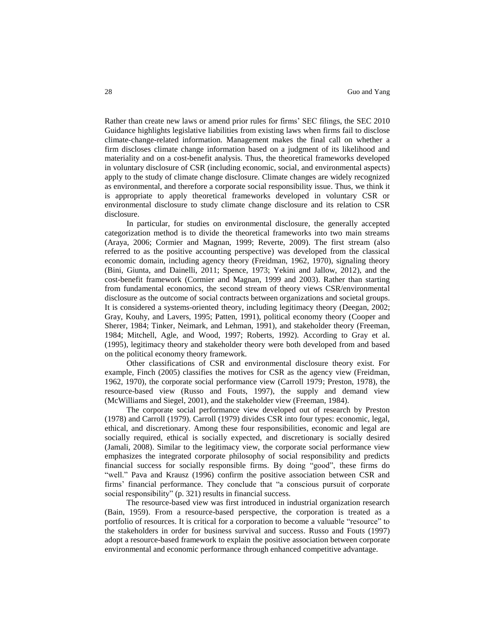Rather than create new laws or amend prior rules for firms' SEC filings, the SEC 2010 Guidance highlights legislative liabilities from existing laws when firms fail to disclose climate-change-related information. Management makes the final call on whether a firm discloses climate change information based on a judgment of its likelihood and materiality and on a cost-benefit analysis. Thus, the theoretical frameworks developed in voluntary disclosure of CSR (including economic, social, and environmental aspects) apply to the study of climate change disclosure. Climate changes are widely recognized as environmental, and therefore a corporate social responsibility issue. Thus, we think it is appropriate to apply theoretical frameworks developed in voluntary CSR or environmental disclosure to study climate change disclosure and its relation to CSR disclosure.

In particular, for studies on environmental disclosure, the generally accepted categorization method is to divide the theoretical frameworks into two main streams (Araya, 2006; Cormier and Magnan, 1999; Reverte, 2009). The first stream (also referred to as the positive accounting perspective) was developed from the classical economic domain, including agency theory (Freidman, 1962, 1970), signaling theory (Bini, Giunta, and Dainelli, 2011; Spence, 1973; Yekini and Jallow, 2012), and the cost-benefit framework (Cormier and Magnan, 1999 and 2003). Rather than starting from fundamental economics, the second stream of theory views CSR/environmental disclosure as the outcome of social contracts between organizations and societal groups. It is considered a systems-oriented theory, including legitimacy theory (Deegan, 2002; Gray, Kouhy, and Lavers, 1995; Patten, 1991), political economy theory (Cooper and Sherer, 1984; Tinker, Neimark, and Lehman, 1991), and stakeholder theory (Freeman, 1984; Mitchell, Agle, and Wood, 1997; Roberts, 1992). According to Gray et al. (1995), legitimacy theory and stakeholder theory were both developed from and based on the political economy theory framework.

Other classifications of CSR and environmental disclosure theory exist. For example, Finch (2005) classifies the motives for CSR as the agency view (Freidman, 1962, 1970), the corporate social performance view (Carroll 1979; Preston, 1978), the resource-based view (Russo and Fouts, 1997), the supply and demand view (McWilliams and Siegel, 2001), and the stakeholder view (Freeman, 1984).

The corporate social performance view developed out of research by Preston (1978) and Carroll (1979). Carroll (1979) divides CSR into four types: economic, legal, ethical, and discretionary. Among these four responsibilities, economic and legal are socially required, ethical is socially expected, and discretionary is socially desired (Jamali, 2008). Similar to the legitimacy view, the corporate social performance view emphasizes the integrated corporate philosophy of social responsibility and predicts financial success for socially responsible firms. By doing "good", these firms do "well." Pava and Krausz (1996) confirm the positive association between CSR and firms' financial performance. They conclude that "a conscious pursuit of corporate social responsibility" (p. 321) results in financial success.

The resource-based view was first introduced in industrial organization research (Bain, 1959). From a resource-based perspective, the corporation is treated as a portfolio of resources. It is critical for a corporation to become a valuable "resource" to the stakeholders in order for business survival and success. Russo and Fouts (1997) adopt a resource-based framework to explain the positive association between corporate environmental and economic performance through enhanced competitive advantage.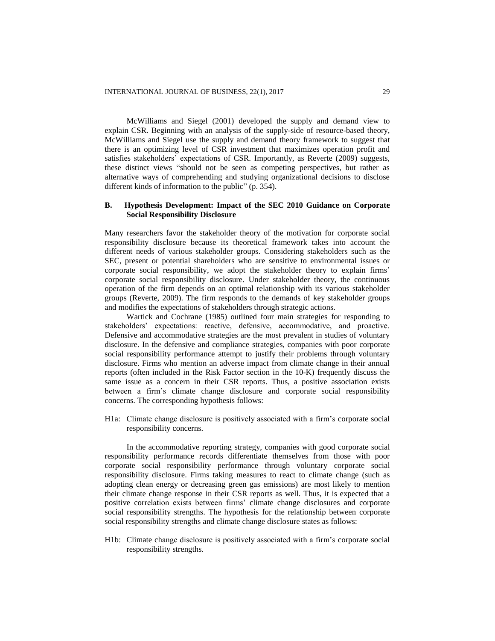McWilliams and Siegel (2001) developed the supply and demand view to explain CSR. Beginning with an analysis of the supply-side of resource-based theory, McWilliams and Siegel use the supply and demand theory framework to suggest that there is an optimizing level of CSR investment that maximizes operation profit and satisfies stakeholders' expectations of CSR. Importantly, as Reverte (2009) suggests, these distinct views "should not be seen as competing perspectives, but rather as alternative ways of comprehending and studying organizational decisions to disclose different kinds of information to the public" (p. 354).

# **B. Hypothesis Development: Impact of the SEC 2010 Guidance on Corporate Social Responsibility Disclosure**

Many researchers favor the stakeholder theory of the motivation for corporate social responsibility disclosure because its theoretical framework takes into account the different needs of various stakeholder groups. Considering stakeholders such as the SEC, present or potential shareholders who are sensitive to environmental issues or corporate social responsibility, we adopt the stakeholder theory to explain firms' corporate social responsibility disclosure. Under stakeholder theory, the continuous operation of the firm depends on an optimal relationship with its various stakeholder groups (Reverte, 2009). The firm responds to the demands of key stakeholder groups and modifies the expectations of stakeholders through strategic actions.

Wartick and Cochrane (1985) outlined four main strategies for responding to stakeholders' expectations: reactive, defensive, accommodative, and proactive. Defensive and accommodative strategies are the most prevalent in studies of voluntary disclosure. In the defensive and compliance strategies, companies with poor corporate social responsibility performance attempt to justify their problems through voluntary disclosure. Firms who mention an adverse impact from climate change in their annual reports (often included in the Risk Factor section in the 10-K) frequently discuss the same issue as a concern in their CSR reports. Thus, a positive association exists between a firm's climate change disclosure and corporate social responsibility concerns. The corresponding hypothesis follows:

H1a: Climate change disclosure is positively associated with a firm's corporate social responsibility concerns.

In the accommodative reporting strategy, companies with good corporate social responsibility performance records differentiate themselves from those with poor corporate social responsibility performance through voluntary corporate social responsibility disclosure. Firms taking measures to react to climate change (such as adopting clean energy or decreasing green gas emissions) are most likely to mention their climate change response in their CSR reports as well. Thus, it is expected that a positive correlation exists between firms' climate change disclosures and corporate social responsibility strengths. The hypothesis for the relationship between corporate social responsibility strengths and climate change disclosure states as follows:

H1b: Climate change disclosure is positively associated with a firm's corporate social responsibility strengths.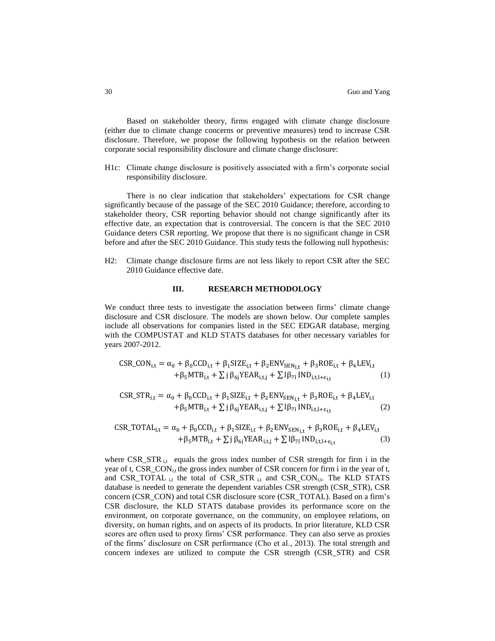Based on stakeholder theory, firms engaged with climate change disclosure (either due to climate change concerns or preventive measures) tend to increase CSR disclosure. Therefore, we propose the following hypothesis on the relation between corporate social responsibility disclosure and climate change disclosure:

H1c: Climate change disclosure is positively associated with a firm's corporate social responsibility disclosure.

There is no clear indication that stakeholders' expectations for CSR change significantly because of the passage of the SEC 2010 Guidance; therefore, according to stakeholder theory, CSR reporting behavior should not change significantly after its effective date, an expectation that is controversial. The concern is that the SEC 2010 Guidance deters CSR reporting. We propose that there is no significant change in CSR before and after the SEC 2010 Guidance. This study tests the following null hypothesis:

H2: Climate change disclosure firms are not less likely to report CSR after the SEC 2010 Guidance effective date.

## **III. RESEARCH METHODOLOGY**

We conduct three tests to investigate the association between firms' climate change disclosure and CSR disclosure. The models are shown below. Our complete samples include all observations for companies listed in the SEC EDGAR database, merging with the COMPUSTAT and KLD STATS databases for other necessary variables for years 2007-2012.

$$
CSR\_CON_{i,t} = \alpha_0 + \beta_0 CCD_{i,t} + \beta_1 SIZE_{i,t} + \beta_2 env_{SEN_{i,t}} + \beta_3 ROE_{i,t} + \beta_4 LEV_{i,t} + \beta_5 MTB_{i,t} + \sum j \beta_{6j} YEAR_{i,t,j} + \sum l\beta_{7l} IND_{i,t,l+\epsilon_{i,t}}
$$
(1)

$$
CSR\_STR_{i,t} = \alpha_0 + \beta_0 CCD_{i,t} + \beta_1 SIZE_{i,t} + \beta_2 EW_{SEN_{i,t}} + \beta_3 ROE_{i,t} + \beta_4 LEV_{i,t} + \beta_5 MTB_{i,t} + \sum j \beta_{6j} YEAR_{i,t,j} + \sum l\beta_{7l} IND_{i,t,l+\epsilon_{i,t}}
$$
(2)

$$
CSR_{\mathbf{IOTAL}_{i,t}} = \alpha_0 + \beta_0 CCD_{i,t} + \beta_1 SIZE_{i,t} + \beta_2 END_{SEN_{i,t}} + \beta_3 ROE_{i,t} + \beta_4 LEV_{i,t} + \beta_5 MTB_{i,t} + \sum j \beta_{6j} YEAR_{i,t,j} + \sum l\beta_{7l} IND_{i,t,l+\epsilon_{i,t}}
$$
(3)

where CSR\_STR  $_{i,t}$  equals the gross index number of CSR strength for firm i in the year of t, CSR\_CON<sub>i,t</sub> the gross index number of CSR concern for firm i in the year of t, and CSR TOTAL i,t the total of CSR STR  $_{i,t}$  and CSR CON<sub>i,t</sub>. The KLD STATS database is needed to generate the dependent variables CSR strength (CSR\_STR), CSR concern (CSR\_CON) and total CSR disclosure score (CSR\_TOTAL). Based on a firm's CSR disclosure, the KLD STATS database provides its performance score on the environment, on corporate governance, on the community, on employee relations, on diversity, on human rights, and on aspects of its products. In prior literature, KLD CSR scores are often used to proxy firms' CSR performance. They can also serve as proxies of the firms' disclosure on CSR performance (Cho et al., 2013). The total strength and concern indexes are utilized to compute the CSR strength (CSR\_STR) and CSR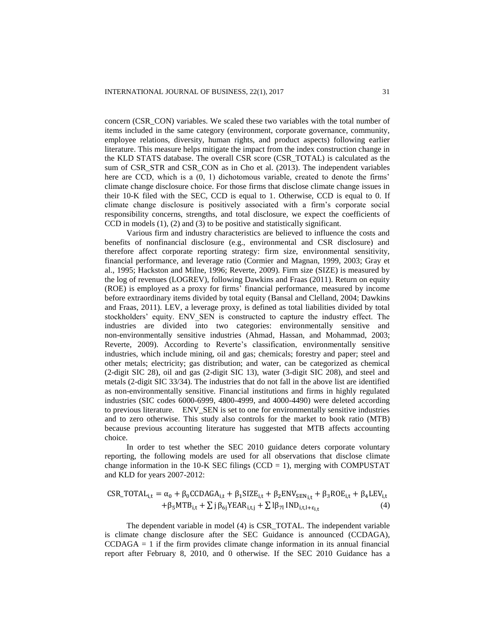concern (CSR\_CON) variables. We scaled these two variables with the total number of items included in the same category (environment, corporate governance, community, employee relations, diversity, human rights, and product aspects) following earlier literature. This measure helps mitigate the impact from the index construction change in the KLD STATS database. The overall CSR score (CSR\_TOTAL) is calculated as the sum of CSR\_STR and CSR\_CON as in Cho et al. (2013). The independent variables here are CCD, which is a  $(0, 1)$  dichotomous variable, created to denote the firms' climate change disclosure choice. For those firms that disclose climate change issues in their 10-K filed with the SEC, CCD is equal to 1. Otherwise, CCD is equal to 0. If climate change disclosure is positively associated with a firm's corporate social responsibility concerns, strengths, and total disclosure, we expect the coefficients of CCD in models (1), (2) and (3) to be positive and statistically significant.

Various firm and industry characteristics are believed to influence the costs and benefits of nonfinancial disclosure (e.g., environmental and CSR disclosure) and therefore affect corporate reporting strategy: firm size, environmental sensitivity, financial performance, and leverage ratio (Cormier and Magnan, 1999, 2003; Gray et al., 1995; Hackston and Milne, 1996; Reverte, 2009). Firm size (SIZE) is measured by the log of revenues (LOGREV), following Dawkins and Fraas (2011). Return on equity (ROE) is employed as a proxy for firms' financial performance, measured by income before extraordinary items divided by total equity (Bansal and Clelland, 2004; Dawkins and Fraas, 2011). LEV, a leverage proxy, is defined as total liabilities divided by total stockholders' equity. ENV\_SEN is constructed to capture the industry effect. The industries are divided into two categories: environmentally sensitive and non-environmentally sensitive industries (Ahmad, Hassan, and Mohammad, 2003; Reverte, 2009). According to Reverte's classification, environmentally sensitive industries, which include mining, oil and gas; chemicals; forestry and paper; steel and other metals; electricity; gas distribution; and water, can be categorized as chemical (2-digit SIC 28), oil and gas (2-digit SIC 13), water (3-digit SIC 208), and steel and metals (2-digit SIC 33/34). The industries that do not fall in the above list are identified as non-environmentally sensitive. Financial institutions and firms in highly regulated industries (SIC codes 6000-6999, 4800-4999, and 4000-4490) were deleted according to previous literature. ENV\_SEN is set to one for environmentally sensitive industries and to zero otherwise. This study also controls for the market to book ratio (MTB) because previous accounting literature has suggested that MTB affects accounting choice.

In order to test whether the SEC 2010 guidance deters corporate voluntary reporting, the following models are used for all observations that disclose climate change information in the 10-K SEC filings (CCD  $=$  1), merging with COMPUSTAT and KLD for years 2007-2012:

$$
CSR\_TOTAL_{i,t} = \alpha_0 + \beta_0 CCDAGA_{i,t} + \beta_1 SIZE_{i,t} + \beta_2 EW_{SEN_{i,t}} + \beta_3 ROE_{i,t} + \beta_4 LEV_{i,t} + \beta_5 MTB_{i,t} + \sum j \beta_{6j} YEAR_{i,t,j} + \sum l\beta_{7l} IND_{i,t,l+\epsilon_{i,t}}
$$
\n(4)

The dependent variable in model (4) is CSR\_TOTAL. The independent variable is climate change disclosure after the SEC Guidance is announced (CCDAGA),  $CCDAGA = 1$  if the firm provides climate change information in its annual financial report after February 8, 2010, and 0 otherwise. If the SEC 2010 Guidance has a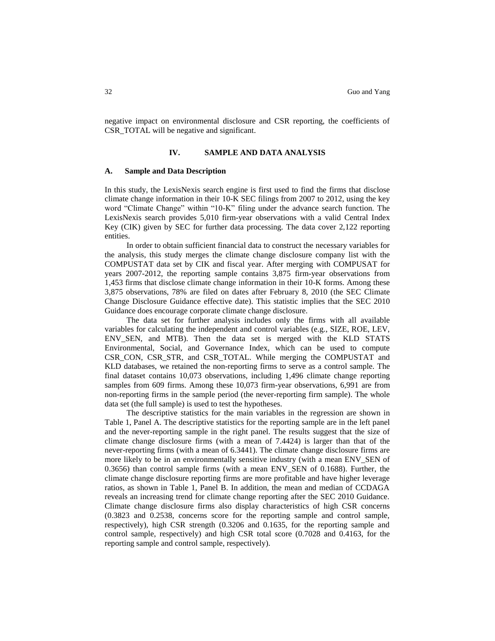negative impact on environmental disclosure and CSR reporting, the coefficients of CSR TOTAL will be negative and significant.

# **IV. SAMPLE AND DATA ANALYSIS**

#### **A. Sample and Data Description**

In this study, the LexisNexis search engine is first used to find the firms that disclose climate change information in their 10-K SEC filings from 2007 to 2012, using the key word "Climate Change" within "10-K" filing under the advance search function. The LexisNexis search provides 5,010 firm-year observations with a valid Central Index Key (CIK) given by SEC for further data processing. The data cover 2,122 reporting entities.

In order to obtain sufficient financial data to construct the necessary variables for the analysis, this study merges the climate change disclosure company list with the COMPUSTAT data set by CIK and fiscal year. After merging with COMPUSAT for years 2007-2012, the reporting sample contains 3,875 firm-year observations from 1,453 firms that disclose climate change information in their 10-K forms. Among these 3,875 observations, 78% are filed on dates after February 8, 2010 (the SEC Climate Change Disclosure Guidance effective date). This statistic implies that the SEC 2010 Guidance does encourage corporate climate change disclosure.

The data set for further analysis includes only the firms with all available variables for calculating the independent and control variables (e.g., SIZE, ROE, LEV, ENV\_SEN, and MTB). Then the data set is merged with the KLD STATS Environmental, Social, and Governance Index, which can be used to compute CSR\_CON, CSR\_STR, and CSR\_TOTAL. While merging the COMPUSTAT and KLD databases, we retained the non-reporting firms to serve as a control sample. The final dataset contains 10,073 observations, including 1,496 climate change reporting samples from 609 firms. Among these 10,073 firm-year observations, 6,991 are from non-reporting firms in the sample period (the never-reporting firm sample). The whole data set (the full sample) is used to test the hypotheses.

The descriptive statistics for the main variables in the regression are shown in Table 1, Panel A. The descriptive statistics for the reporting sample are in the left panel and the never-reporting sample in the right panel. The results suggest that the size of climate change disclosure firms (with a mean of 7.4424) is larger than that of the never-reporting firms (with a mean of 6.3441). The climate change disclosure firms are more likely to be in an environmentally sensitive industry (with a mean ENV\_SEN of 0.3656) than control sample firms (with a mean ENV\_SEN of 0.1688). Further, the climate change disclosure reporting firms are more profitable and have higher leverage ratios, as shown in Table 1, Panel B. In addition, the mean and median of CCDAGA reveals an increasing trend for climate change reporting after the SEC 2010 Guidance. Climate change disclosure firms also display characteristics of high CSR concerns (0.3823 and 0.2538, concerns score for the reporting sample and control sample, respectively), high CSR strength (0.3206 and 0.1635, for the reporting sample and control sample, respectively) and high CSR total score (0.7028 and 0.4163, for the reporting sample and control sample, respectively).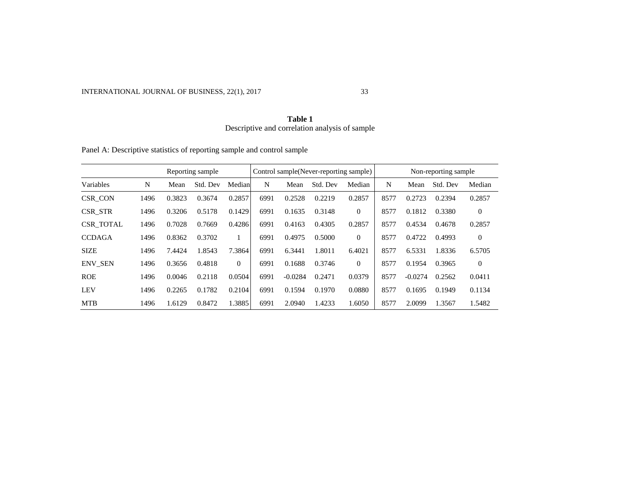# INTERNATIONAL JOURNAL OF BUSINESS, 22(1), 2017 33

# **Table 1** Descriptive and correlation analysis of sample

Panel A: Descriptive statistics of reporting sample and control sample

| Reporting sample |      |        | Control sample (Never-reporting sample) |          |      |           | Non-reporting sample |                |      |           |          |                |
|------------------|------|--------|-----------------------------------------|----------|------|-----------|----------------------|----------------|------|-----------|----------|----------------|
| Variables        | N    | Mean   | Std. Dev                                | Median   | N    | Mean      | Std. Dev             | Median         | N    | Mean      | Std. Dev | Median         |
| CSR CON          | 1496 | 0.3823 | 0.3674                                  | 0.2857   | 6991 | 0.2528    | 0.2219               | 0.2857         | 8577 | 0.2723    | 0.2394   | 0.2857         |
| CSR_STR          | 1496 | 0.3206 | 0.5178                                  | 0.1429   | 6991 | 0.1635    | 0.3148               | $\overline{0}$ | 8577 | 0.1812    | 0.3380   | $\theta$       |
| <b>CSR TOTAL</b> | 1496 | 0.7028 | 0.7669                                  | 0.4286   | 6991 | 0.4163    | 0.4305               | 0.2857         | 8577 | 0.4534    | 0.4678   | 0.2857         |
| <b>CCDAGA</b>    | 1496 | 0.8362 | 0.3702                                  |          | 6991 | 0.4975    | 0.5000               | $\overline{0}$ | 8577 | 0.4722    | 0.4993   | $\overline{0}$ |
| <b>SIZE</b>      | 1496 | 7.4424 | 1.8543                                  | 7.3864   | 6991 | 6.3441    | 1.8011               | 6.4021         | 8577 | 6.5331    | 1.8336   | 6.5705         |
| <b>ENV SEN</b>   | 1496 | 0.3656 | 0.4818                                  | $\Omega$ | 6991 | 0.1688    | 0.3746               | $\Omega$       | 8577 | 0.1954    | 0.3965   | $\overline{0}$ |
| <b>ROE</b>       | 1496 | 0.0046 | 0.2118                                  | 0.0504   | 6991 | $-0.0284$ | 0.2471               | 0.0379         | 8577 | $-0.0274$ | 0.2562   | 0.0411         |
| <b>LEV</b>       | 1496 | 0.2265 | 0.1782                                  | 0.2104   | 6991 | 0.1594    | 0.1970               | 0.0880         | 8577 | 0.1695    | 0.1949   | 0.1134         |
| <b>MTB</b>       | 1496 | 1.6129 | 0.8472                                  | 1.3885   | 6991 | 2.0940    | 1.4233               | 1.6050         | 8577 | 2.0099    | 1.3567   | 1.5482         |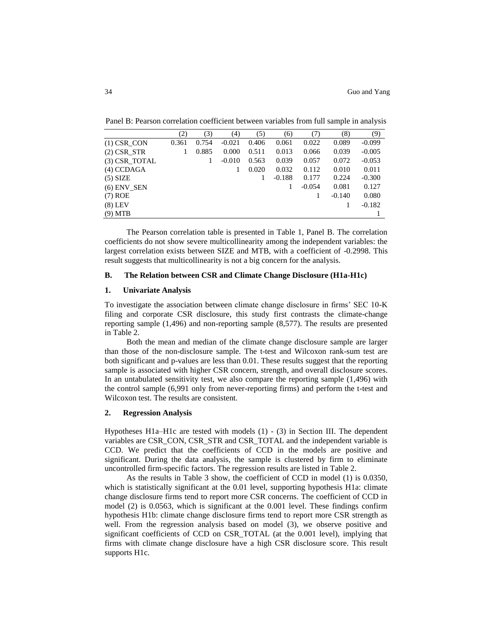Panel B: Pearson correlation coefficient between variables from full sample in analysis

|                 | (2)   | (3)   | (4)      | (5)   | (6)      | (7)      | (8)      | (9)      |
|-----------------|-------|-------|----------|-------|----------|----------|----------|----------|
| $(1)$ CSR CON   | 0.361 | 0.754 | $-0.021$ | 0.406 | 0.061    | 0.022    | 0.089    | $-0.099$ |
| $(2)$ CSR STR   | 1     | 0.885 | 0.000    | 0.511 | 0.013    | 0.066    | 0.039    | $-0.005$ |
| $(3)$ CSR TOTAL |       |       | $-0.010$ | 0.563 | 0.039    | 0.057    | 0.072    | $-0.053$ |
| $(4)$ CCDAGA    |       |       |          | 0.020 | 0.032    | 0.112    | 0.010    | 0.011    |
| $(5)$ SIZE      |       |       |          |       | $-0.188$ | 0.177    | 0.224    | $-0.300$ |
| $(6)$ ENV SEN   |       |       |          |       |          | $-0.054$ | 0.081    | 0.127    |
| (7) ROE         |       |       |          |       |          |          | $-0.140$ | 0.080    |
| $(8)$ LEV       |       |       |          |       |          |          |          | $-0.182$ |
| $(9)$ MTB       |       |       |          |       |          |          |          |          |

The Pearson correlation table is presented in Table 1, Panel B. The correlation coefficients do not show severe multicollinearity among the independent variables: the largest correlation exists between SIZE and MTB, with a coefficient of -0.2998. This result suggests that multicollinearity is not a big concern for the analysis.

#### **B. The Relation between CSR and Climate Change Disclosure (H1a-H1c)**

#### **1. Univariate Analysis**

To investigate the association between climate change disclosure in firms' SEC 10-K filing and corporate CSR disclosure, this study first contrasts the climate-change reporting sample (1,496) and non-reporting sample (8,577). The results are presented in Table 2.

Both the mean and median of the climate change disclosure sample are larger than those of the non-disclosure sample. The t-test and Wilcoxon rank-sum test are both significant and p-values are less than 0.01. These results suggest that the reporting sample is associated with higher CSR concern, strength, and overall disclosure scores. In an untabulated sensitivity test, we also compare the reporting sample (1,496) with the control sample (6,991 only from never-reporting firms) and perform the t-test and Wilcoxon test. The results are consistent.

#### **2. Regression Analysis**

Hypotheses H1a–H1c are tested with models  $(1)$  -  $(3)$  in Section III. The dependent variables are CSR\_CON, CSR\_STR and CSR\_TOTAL and the independent variable is CCD. We predict that the coefficients of CCD in the models are positive and significant. During the data analysis, the sample is clustered by firm to eliminate uncontrolled firm-specific factors. The regression results are listed in Table 2.

As the results in Table 3 show, the coefficient of CCD in model (1) is 0.0350, which is statistically significant at the 0.01 level, supporting hypothesis H1a: climate change disclosure firms tend to report more CSR concerns. The coefficient of CCD in model (2) is 0.0563, which is significant at the 0.001 level. These findings confirm hypothesis H1b: climate change disclosure firms tend to report more CSR strength as well. From the regression analysis based on model (3), we observe positive and significant coefficients of CCD on CSR TOTAL (at the 0.001 level), implying that firms with climate change disclosure have a high CSR disclosure score. This result supports H1c.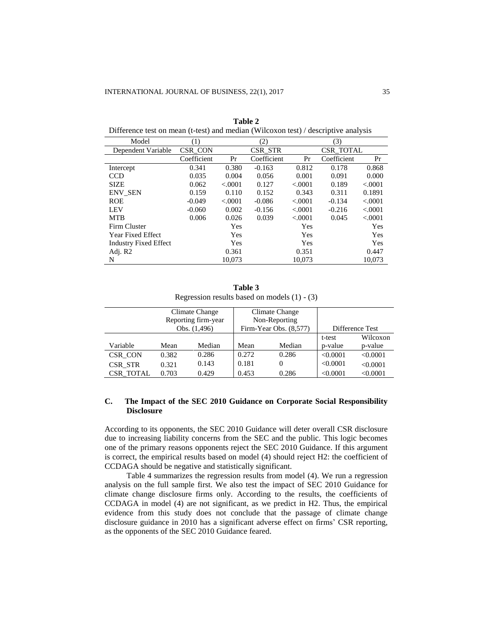| Directoried toot on mean (Ctoot) and meanan (Willebroth test) / descriptive analysis |             |          |             |                  |             |         |  |  |
|--------------------------------------------------------------------------------------|-------------|----------|-------------|------------------|-------------|---------|--|--|
| Model                                                                                | (1)         |          | (2)         |                  | (3)         |         |  |  |
| Dependent Variable                                                                   | CSR_CON     |          | CSR STR     | <b>CSR TOTAL</b> |             |         |  |  |
|                                                                                      | Coefficient | Pr       | Coefficient | Pr               | Coefficient | Pr      |  |  |
| Intercept                                                                            | 0.341       | 0.380    | $-0.163$    | 0.812            | 0.178       | 0.868   |  |  |
| <b>CCD</b>                                                                           | 0.035       | 0.004    | 0.056       | 0.001            | 0.091       | 0.000   |  |  |
| <b>SIZE</b>                                                                          | 0.062       | < 0.0001 | 0.127       | < 0.0001         | 0.189       | < .0001 |  |  |
| <b>ENV_SEN</b>                                                                       | 0.159       | 0.110    | 0.152       | 0.343            | 0.311       | 0.1891  |  |  |
| <b>ROE</b>                                                                           | $-0.049$    | < 0.0001 | $-0.086$    | < 0.0001         | $-0.134$    | < .0001 |  |  |
| <b>LEV</b>                                                                           | $-0.060$    | 0.002    | $-0.156$    | < 0.0001         | $-0.216$    | < .0001 |  |  |
| <b>MTB</b>                                                                           | 0.006       | 0.026    | 0.039       | < 0.0001         | 0.045       | < .0001 |  |  |
| Firm Cluster                                                                         |             | Yes      |             | Yes              |             | Yes     |  |  |
| Year Fixed Effect                                                                    |             | Yes      |             | Yes              |             | Yes     |  |  |
| <b>Industry Fixed Effect</b>                                                         |             | Yes      |             | Yes              |             | Yes     |  |  |
| Adj. R2                                                                              |             | 0.361    |             | 0.351            |             | 0.447   |  |  |
| N                                                                                    |             | 10,073   |             | 10,073           |             | 10,073  |  |  |

**Table 2**

Difference test on mean (t-test) and median (Wilcoxon test) / descriptive analysis

**Table 3**  Regression results based on models (1) - (3)

|                  | Climate Change      |        |                        | Climate Change |                 |          |
|------------------|---------------------|--------|------------------------|----------------|-----------------|----------|
|                  | Reporting firm-year |        | Non-Reporting          |                |                 |          |
|                  | Obs. (1,496)        |        | Firm-Year Obs. (8,577) |                | Difference Test |          |
|                  |                     |        |                        |                | t-test          | Wilcoxon |
| Variable         | Mean                | Median | Mean                   | Median         | p-value         | p-value  |
| CSR CON          | 0.382               | 0.286  | 0.272                  | 0.286          | < 0.0001        | < 0.0001 |
| CSR STR          | 0.321               | 0.143  | 0.181                  | $_{0}$         | < 0.0001        | < 0.0001 |
| <b>CSR TOTAL</b> | 0.703               | 0.429  | 0.453                  | 0.286          | < 0.0001        | < 0.0001 |

# **C. The Impact of the SEC 2010 Guidance on Corporate Social Responsibility Disclosure**

According to its opponents, the SEC 2010 Guidance will deter overall CSR disclosure due to increasing liability concerns from the SEC and the public. This logic becomes one of the primary reasons opponents reject the SEC 2010 Guidance. If this argument is correct, the empirical results based on model (4) should reject H2: the coefficient of CCDAGA should be negative and statistically significant.

Table 4 summarizes the regression results from model (4). We run a regression analysis on the full sample first. We also test the impact of SEC 2010 Guidance for climate change disclosure firms only. According to the results, the coefficients of CCDAGA in model (4) are not significant, as we predict in H2. Thus, the empirical evidence from this study does not conclude that the passage of climate change disclosure guidance in 2010 has a significant adverse effect on firms' CSR reporting, as the opponents of the SEC 2010 Guidance feared.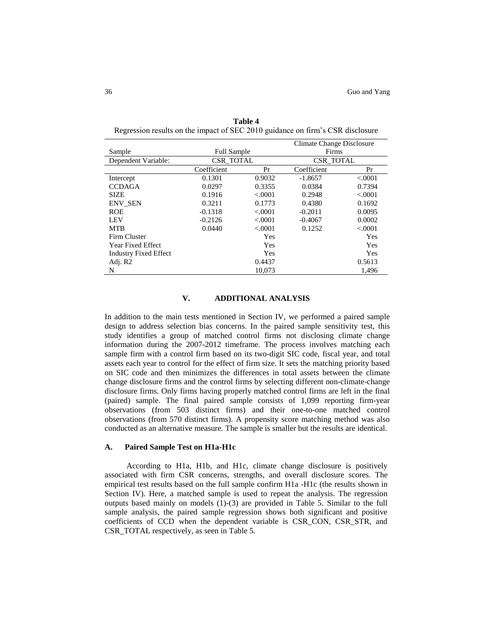|                              |                    |         | Climate Change Disclosure |          |  |
|------------------------------|--------------------|---------|---------------------------|----------|--|
| Sample                       | <b>Full Sample</b> |         | Firms                     |          |  |
| Dependent Variable:          | <b>CSR TOTAL</b>   |         | <b>CSR TOTAL</b>          |          |  |
|                              | Coefficient        | Pr      | Coefficient               | Pr       |  |
| Intercept                    | 0.1301             | 0.9032  | $-1.8657$                 | < 0.0001 |  |
| <b>CCDAGA</b>                | 0.0297             | 0.3355  | 0.0384                    | 0.7394   |  |
| <b>SIZE</b>                  | 0.1916             | < 0.001 | 0.2948                    | < 0.001  |  |
| <b>ENV_SEN</b>               | 0.3211             | 0.1773  | 0.4380                    | 0.1692   |  |
| <b>ROE</b>                   | $-0.1318$          | < 0.001 | $-0.2011$                 | 0.0095   |  |
| <b>LEV</b>                   | $-0.2126$          | < 0.001 | $-0.4067$                 | 0.0002   |  |
| <b>MTB</b>                   | 0.0440             | < 0.001 | 0.1252                    | < 0.001  |  |
| Firm Cluster                 |                    | Yes     |                           | Yes      |  |
| <b>Year Fixed Effect</b>     |                    | Yes     |                           | Yes      |  |
| <b>Industry Fixed Effect</b> |                    | Yes     |                           | Yes      |  |
| Adj. R <sub>2</sub>          |                    | 0.4437  |                           | 0.5613   |  |
| N                            |                    | 10.073  |                           | 1,496    |  |

**Table 4** Regression results on the impact of SEC 2010 guidance on firm's CSR disclosure

## **V. ADDITIONAL ANALYSIS**

In addition to the main tests mentioned in Section IV, we performed a paired sample design to address selection bias concerns. In the paired sample sensitivity test, this study identifies a group of matched control firms not disclosing climate change information during the 2007-2012 timeframe. The process involves matching each sample firm with a control firm based on its two-digit SIC code, fiscal year, and total assets each year to control for the effect of firm size. It sets the matching priority based on SIC code and then minimizes the differences in total assets between the climate change disclosure firms and the control firms by selecting different non-climate-change disclosure firms. Only firms having properly matched control firms are left in the final (paired) sample. The final paired sample consists of 1,099 reporting firm-year observations (from 503 distinct firms) and their one-to-one matched control observations (from 570 distinct firms). A propensity score matching method was also conducted as an alternative measure. The sample is smaller but the results are identical.

#### **A. Paired Sample Test on H1a-H1c**

According to H1a, H1b, and H1c, climate change disclosure is positively associated with firm CSR concerns, strengths, and overall disclosure scores. The empirical test results based on the full sample confirm H1a -H1c (the results shown in Section IV). Here, a matched sample is used to repeat the analysis. The regression outputs based mainly on models (1)-(3) are provided in Table 5. Similar to the full sample analysis, the paired sample regression shows both significant and positive coefficients of CCD when the dependent variable is CSR\_CON, CSR\_STR, and CSR TOTAL respectively, as seen in Table 5.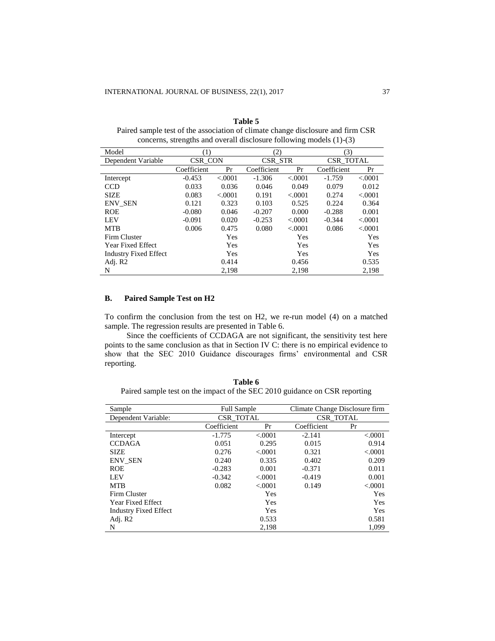#### **Table 5**

Paired sample test of the association of climate change disclosure and firm CSR concerns, strengths and overall disclosure following models (1)-(3)

| Model                        | (1)         |            | (2)            |            | (3)              |            |
|------------------------------|-------------|------------|----------------|------------|------------------|------------|
| Dependent Variable           | CSR CON     |            | <b>CSR STR</b> |            | <b>CSR TOTAL</b> |            |
|                              | Coefficient | Pr         | Coefficient    | Pr         | Coefficient      | Pr         |
| Intercept                    | $-0.453$    | < 0.0001   | $-1.306$       | < 0.0001   | $-1.759$         | < .0001    |
| <b>CCD</b>                   | 0.033       | 0.036      | 0.046          | 0.049      | 0.079            | 0.012      |
| <b>SIZE</b>                  | 0.083       | < 0.0001   | 0.191          | < .0001    | 0.274            | < .0001    |
| <b>ENV SEN</b>               | 0.121       | 0.323      | 0.103          | 0.525      | 0.224            | 0.364      |
| <b>ROE</b>                   | $-0.080$    | 0.046      | $-0.207$       | 0.000      | $-0.288$         | 0.001      |
| <b>LEV</b>                   | $-0.091$    | 0.020      | $-0.253$       | < .0001    | $-0.344$         | < .0001    |
| <b>MTB</b>                   | 0.006       | 0.475      | 0.080          | < 0.0001   | 0.086            | < .0001    |
| Firm Cluster                 |             | <b>Yes</b> |                | <b>Yes</b> |                  | <b>Yes</b> |
| Year Fixed Effect            |             | Yes        |                | Yes        |                  | Yes        |
| <b>Industry Fixed Effect</b> |             | Yes        |                | Yes        |                  | Yes        |
| Adj. R2                      |             | 0.414      |                | 0.456      |                  | 0.535      |
| N                            |             | 2.198      |                | 2,198      |                  | 2,198      |

# **B. Paired Sample Test on H2**

To confirm the conclusion from the test on H2, we re-run model (4) on a matched sample. The regression results are presented in Table 6.

Since the coefficients of CCDAGA are not significant, the sensitivity test here points to the same conclusion as that in Section IV C: there is no empirical evidence to show that the SEC 2010 Guidance discourages firms' environmental and CSR reporting.

**Table 6** Paired sample test on the impact of the SEC 2010 guidance on CSR reporting

| Sample                       | <b>Full Sample</b> |          | Climate Change Disclosure firm |          |  |
|------------------------------|--------------------|----------|--------------------------------|----------|--|
| Dependent Variable:          | <b>CSR TOTAL</b>   |          | <b>CSR TOTAL</b>               |          |  |
|                              | Coefficient        | Pr       | Coefficient                    | Pr       |  |
| Intercept                    | $-1.775$           | < 0.0001 | $-2.141$                       | < 0.0001 |  |
| <b>CCDAGA</b>                | 0.051              | 0.295    | 0.015                          | 0.914    |  |
| <b>SIZE</b>                  | 0.276              | < .0001  | 0.321                          | < 0.0001 |  |
| <b>ENV SEN</b>               | 0.240              | 0.335    | 0.402                          | 0.209    |  |
| <b>ROE</b>                   | $-0.283$           | 0.001    | $-0.371$                       | 0.011    |  |
| <b>LEV</b>                   | $-0.342$           | < 0.0001 | $-0.419$                       | 0.001    |  |
| <b>MTB</b>                   | 0.082              | < 0.001  | 0.149                          | < 0001   |  |
| Firm Cluster                 |                    | Yes      |                                | Yes      |  |
| Year Fixed Effect            |                    | Yes      |                                | Yes      |  |
| <b>Industry Fixed Effect</b> |                    | Yes      |                                | Yes      |  |
| Adj. R2                      |                    | 0.533    |                                | 0.581    |  |
| N                            |                    | 2,198    |                                | 1.099    |  |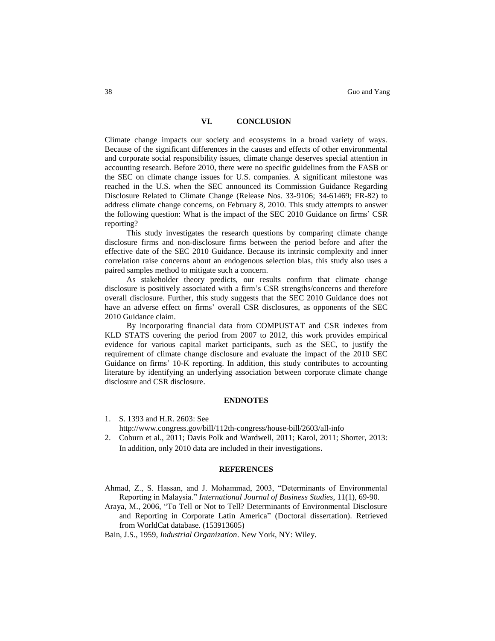## **VI. CONCLUSION**

Climate change impacts our society and ecosystems in a broad variety of ways. Because of the significant differences in the causes and effects of other environmental and corporate social responsibility issues, climate change deserves special attention in accounting research. Before 2010, there were no specific guidelines from the FASB or the SEC on climate change issues for U.S. companies. A significant milestone was reached in the U.S. when the SEC announced its Commission Guidance Regarding Disclosure Related to Climate Change (Release Nos. 33-9106; 34-61469; FR-82) to address climate change concerns, on February 8, 2010. This study attempts to answer the following question: What is the impact of the SEC 2010 Guidance on firms' CSR reporting?

This study investigates the research questions by comparing climate change disclosure firms and non-disclosure firms between the period before and after the effective date of the SEC 2010 Guidance. Because its intrinsic complexity and inner correlation raise concerns about an endogenous selection bias, this study also uses a paired samples method to mitigate such a concern.

As stakeholder theory predicts, our results confirm that climate change disclosure is positively associated with a firm's CSR strengths/concerns and therefore overall disclosure. Further, this study suggests that the SEC 2010 Guidance does not have an adverse effect on firms' overall CSR disclosures, as opponents of the SEC 2010 Guidance claim.

By incorporating financial data from COMPUSTAT and CSR indexes from KLD STATS covering the period from 2007 to 2012, this work provides empirical evidence for various capital market participants, such as the SEC, to justify the requirement of climate change disclosure and evaluate the impact of the 2010 SEC Guidance on firms' 10-K reporting. In addition, this study contributes to accounting literature by identifying an underlying association between corporate climate change disclosure and CSR disclosure.

#### **ENDNOTES**

- 1. S. 1393 and H.R. 2603: See
- http://www.congress.gov/bill/112th-congress/house-bill/2603/all-info 2. Coburn et al., 2011; Davis Polk and Wardwell, 2011; Karol, 2011; Shorter, 2013:
	- In addition, only 2010 data are included in their investigations.

#### **REFERENCES**

- Ahmad, Z., S. Hassan, and J. Mohammad, 2003, "Determinants of Environmental Reporting in Malaysia." *International Journal of Business Studies,* 11(1), 69-90.
- Araya, M., 2006, "To Tell or Not to Tell? Determinants of Environmental Disclosure and Reporting in Corporate Latin America" (Doctoral dissertation). Retrieved from WorldCat database. (153913605)
- Bain, J.S., 1959, *Industrial Organization*. New York, NY: Wiley.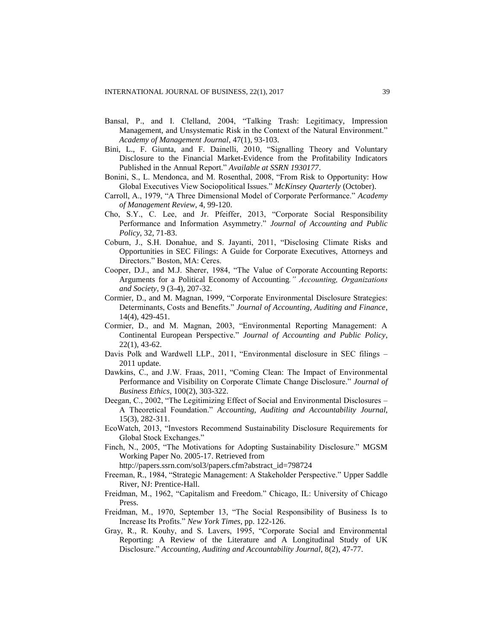- Bansal, P., and I. Clelland, 2004, "Talking Trash: Legitimacy, Impression Management, and Unsystematic Risk in the Context of the Natural Environment." *Academy of Management Journal*, 47(1), 93-103.
- Bini, L., F. Giunta, and F. Dainelli, 2010, "Signalling Theory and Voluntary Disclosure to the Financial Market-Evidence from the Profitability Indicators Published in the Annual Report." *Available at SSRN 1930177*.
- Bonini, S., L. Mendonca, and M. Rosenthal, 2008, "From Risk to Opportunity: How Global Executives View Sociopolitical Issues." *McKinsey Quarterly* (October).
- Carroll, A., 1979, "A Three Dimensional Model of Corporate Performance." *Academy of Management Review*, 4, 99-120.
- Cho, S.Y., C. Lee, and Jr. Pfeiffer, 2013, "Corporate Social Responsibility Performance and Information Asymmetry." *Journal of Accounting and Public Policy*, 32, 71-83.
- Coburn, J., S.H. Donahue, and S. Jayanti, 2011, "Disclosing Climate Risks and Opportunities in SEC Filings: A Guide for Corporate Executives, Attorneys and Directors." Boston, MA: Ceres.
- Cooper, D.J., and M.J. Sherer, 1984, "The Value of Corporate Accounting Reports: Arguments for a Political Economy of Accounting*." Accounting, Organizations and Society*, 9 (3-4), 207-32.
- Cormier, D., and M. Magnan, 1999, "Corporate Environmental Disclosure Strategies: Determinants, Costs and Benefits." *Journal of Accounting, Auditing and Finance*, 14(4), 429-451.
- Cormier, D., and M. Magnan, 2003, "Environmental Reporting Management: A Continental European Perspective." *Journal of Accounting and Public Policy*, 22(1), 43-62.
- Davis Polk and Wardwell LLP., 2011, "Environmental disclosure in SEC filings 2011 update.
- Dawkins, C., and J.W. Fraas, 2011, "Coming Clean: The Impact of Environmental Performance and Visibility on Corporate Climate Change Disclosure." *Journal of Business Ethics*, 100(2), 303-322.
- Deegan, C., 2002, "The Legitimizing Effect of Social and Environmental Disclosures A Theoretical Foundation." *Accounting, Auditing and Accountability Journal*, 15(3), 282-311.
- EcoWatch, 2013, "Investors Recommend Sustainability Disclosure Requirements for Global Stock Exchanges."
- Finch, N., 2005, "The Motivations for Adopting Sustainability Disclosure." MGSM Working Paper No. 2005-17. Retrieved from

- Freeman, R., 1984, "Strategic Management: A Stakeholder Perspective." Upper Saddle River, NJ: Prentice-Hall.
- Freidman, M., 1962, "Capitalism and Freedom." Chicago, IL: University of Chicago Press.
- Freidman, M., 1970, September 13, "The Social Responsibility of Business Is to Increase Its Profits." *New York Times*, pp. 122-126.
- Gray, R., R. Kouhy, and S. Lavers, 1995, "Corporate Social and Environmental Reporting: A Review of the Literature and A Longitudinal Study of UK Disclosure." *Accounting, Auditing and Accountability Journal*, 8(2), 47-77.

http://papers.ssrn.com/sol3/papers.cfm?abstract\_id=798724